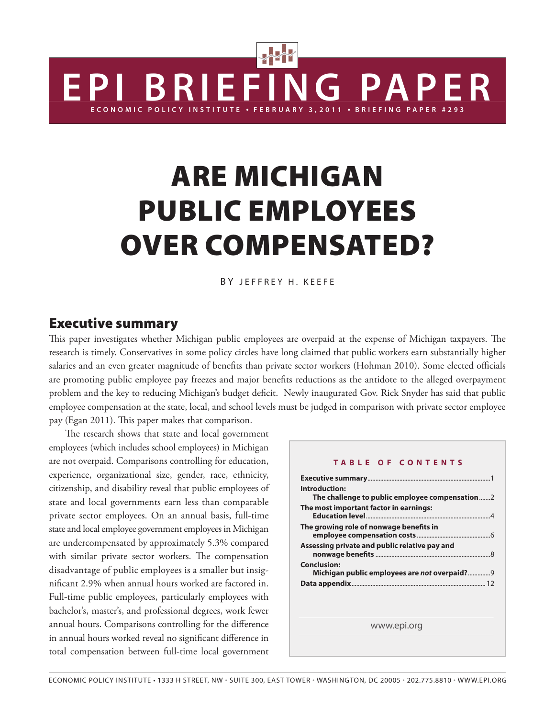# Are Michigan Public Employees Over Compensated?

**BRIEFING PAP** 

ECONOMIC POLICY INSTITUTE • FEBRUARY 3,2011 • BRIEFING PAPER #293

BY JEFFREY H. KEEFE

## Executive summary

This paper investigates whether Michigan public employees are overpaid at the expense of Michigan taxpayers. The research is timely. Conservatives in some policy circles have long claimed that public workers earn substantially higher salaries and an even greater magnitude of benefits than private sector workers (Hohman 2010). Some elected officials are promoting public employee pay freezes and major benefits reductions as the antidote to the alleged overpayment problem and the key to reducing Michigan's budget deficit. Newly inaugurated Gov. Rick Snyder has said that public employee compensation at the state, local, and school levels must be judged in comparison with private sector employee pay (Egan 2011). This paper makes that comparison.

The research shows that state and local government employees (which includes school employees) in Michigan are not overpaid. Comparisons controlling for education, experience, organizational size, gender, race, ethnicity, citizenship, and disability reveal that public employees of state and local governments earn less than comparable private sector employees. On an annual basis, full-time state and local employee government employees in Michigan are undercompensated by approximately 5.3% compared with similar private sector workers. The compensation disadvantage of public employees is a smaller but insignificant 2.9% when annual hours worked are factored in. Full-time public employees, particularly employees with bachelor's, master's, and professional degrees, work fewer annual hours. Comparisons controlling for the difference in annual hours worked reveal no significant difference in total compensation between full-time local government

| Introduction:<br>The challenge to public employee compensation2<br>The most important factor in earnings: |
|-----------------------------------------------------------------------------------------------------------|
|                                                                                                           |
|                                                                                                           |
|                                                                                                           |
| The growing role of nonwage benefits in                                                                   |
| Assessing private and public relative pay and                                                             |
| <b>Conclusion:</b><br>Michigan public employees are not overpaid?9                                        |
|                                                                                                           |
|                                                                                                           |
| www.epi.org                                                                                               |
|                                                                                                           |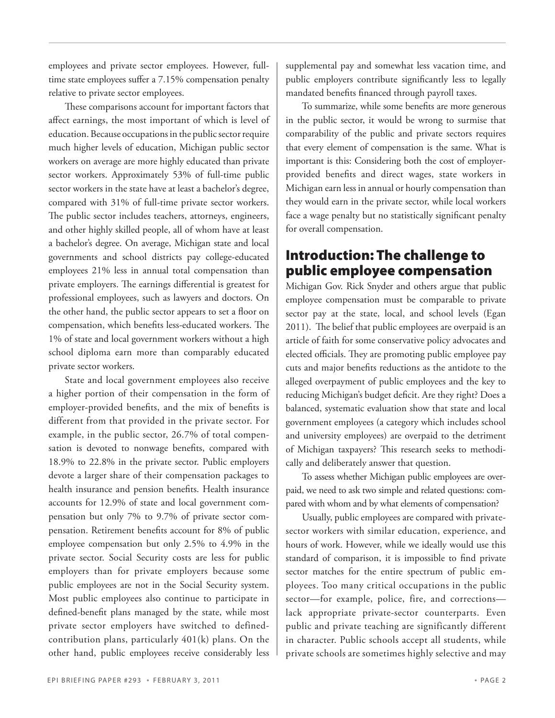employees and private sector employees. However, fulltime state employees suffer a 7.15% compensation penalty relative to private sector employees.

These comparisons account for important factors that affect earnings, the most important of which is level of education. Because occupations in the public sector require much higher levels of education, Michigan public sector workers on average are more highly educated than private sector workers. Approximately 53% of full-time public sector workers in the state have at least a bachelor's degree, compared with 31% of full-time private sector workers. The public sector includes teachers, attorneys, engineers, and other highly skilled people, all of whom have at least a bachelor's degree. On average, Michigan state and local governments and school districts pay college-educated employees 21% less in annual total compensation than private employers. The earnings differential is greatest for professional employees, such as lawyers and doctors. On the other hand, the public sector appears to set a floor on compensation, which benefits less-educated workers. The 1% of state and local government workers without a high school diploma earn more than comparably educated private sector workers.

State and local government employees also receive a higher portion of their compensation in the form of employer-provided benefits, and the mix of benefits is different from that provided in the private sector. For example, in the public sector, 26.7% of total compensation is devoted to nonwage benefits, compared with 18.9% to 22.8% in the private sector. Public employers devote a larger share of their compensation packages to health insurance and pension benefits. Health insurance accounts for 12.9% of state and local government compensation but only 7% to 9.7% of private sector compensation. Retirement benefits account for 8% of public employee compensation but only 2.5% to 4.9% in the private sector. Social Security costs are less for public employers than for private employers because some public employees are not in the Social Security system. Most public employees also continue to participate in defined-benefit plans managed by the state, while most private sector employers have switched to definedcontribution plans, particularly 401(k) plans. On the other hand, public employees receive considerably less

supplemental pay and somewhat less vacation time, and public employers contribute significantly less to legally mandated benefits financed through payroll taxes.

To summarize, while some benefits are more generous in the public sector, it would be wrong to surmise that comparability of the public and private sectors requires that every element of compensation is the same. What is important is this: Considering both the cost of employerprovided benefits and direct wages, state workers in Michigan earn less in annual or hourly compensation than they would earn in the private sector, while local workers face a wage penalty but no statistically significant penalty for overall compensation.

# Introduction: The challenge to public employee compensation

Michigan Gov. Rick Snyder and others argue that public employee compensation must be comparable to private sector pay at the state, local, and school levels (Egan 2011). The belief that public employees are overpaid is an article of faith for some conservative policy advocates and elected officials. They are promoting public employee pay cuts and major benefits reductions as the antidote to the alleged overpayment of public employees and the key to reducing Michigan's budget deficit. Are they right? Does a balanced, systematic evaluation show that state and local government employees (a category which includes school and university employees) are overpaid to the detriment of Michigan taxpayers? This research seeks to methodically and deliberately answer that question.

To assess whether Michigan public employees are overpaid, we need to ask two simple and related questions: compared with whom and by what elements of compensation?

Usually, public employees are compared with privatesector workers with similar education, experience, and hours of work. However, while we ideally would use this standard of comparison, it is impossible to find private sector matches for the entire spectrum of public employees. Too many critical occupations in the public sector—for example, police, fire, and corrections lack appropriate private-sector counterparts. Even public and private teaching are significantly different in character. Public schools accept all students, while private schools are sometimes highly selective and may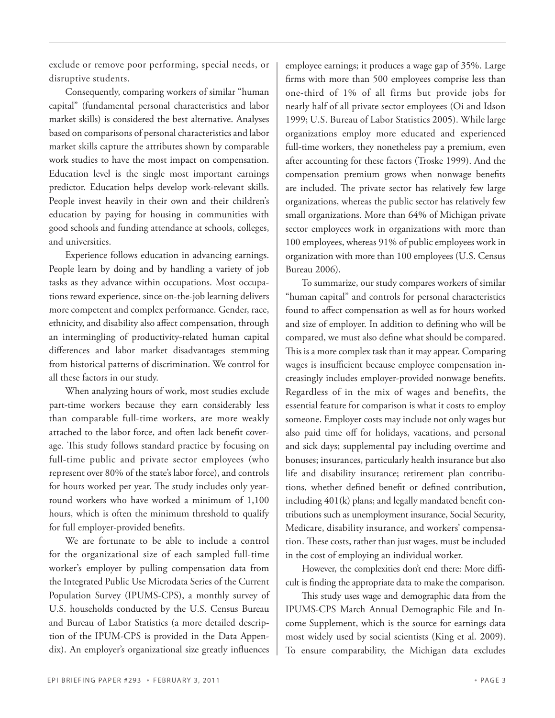exclude or remove poor performing, special needs, or disruptive students.

Consequently, comparing workers of similar "human capital" (fundamental personal characteristics and labor market skills) is considered the best alternative. Analyses based on comparisons of personal characteristics and labor market skills capture the attributes shown by comparable work studies to have the most impact on compensation. Education level is the single most important earnings predictor. Education helps develop work-relevant skills. People invest heavily in their own and their children's education by paying for housing in communities with good schools and funding attendance at schools, colleges, and universities.

Experience follows education in advancing earnings. People learn by doing and by handling a variety of job tasks as they advance within occupations. Most occupations reward experience, since on-the-job learning delivers more competent and complex performance. Gender, race, ethnicity, and disability also affect compensation, through an intermingling of productivity-related human capital differences and labor market disadvantages stemming from historical patterns of discrimination. We control for all these factors in our study.

When analyzing hours of work, most studies exclude part-time workers because they earn considerably less than comparable full-time workers, are more weakly attached to the labor force, and often lack benefit coverage. This study follows standard practice by focusing on full-time public and private sector employees (who represent over 80% of the state's labor force), and controls for hours worked per year. The study includes only yearround workers who have worked a minimum of 1,100 hours, which is often the minimum threshold to qualify for full employer-provided benefits.

We are fortunate to be able to include a control for the organizational size of each sampled full-time worker's employer by pulling compensation data from the Integrated Public Use Microdata Series of the Current Population Survey (IPUMS-CPS), a monthly survey of U.S. households conducted by the U.S. Census Bureau and Bureau of Labor Statistics (a more detailed description of the IPUM-CPS is provided in the Data Appendix). An employer's organizational size greatly influences

employee earnings; it produces a wage gap of 35%. Large firms with more than 500 employees comprise less than one-third of 1% of all firms but provide jobs for nearly half of all private sector employees (Oi and Idson 1999; U.S. Bureau of Labor Statistics 2005). While large organizations employ more educated and experienced full-time workers, they nonetheless pay a premium, even after accounting for these factors (Troske 1999). And the compensation premium grows when nonwage benefits are included. The private sector has relatively few large organizations, whereas the public sector has relatively few small organizations. More than 64% of Michigan private sector employees work in organizations with more than 100 employees, whereas 91% of public employees work in organization with more than 100 employees (U.S. Census Bureau 2006).

To summarize, our study compares workers of similar "human capital" and controls for personal characteristics found to affect compensation as well as for hours worked and size of employer. In addition to defining who will be compared, we must also define what should be compared. This is a more complex task than it may appear. Comparing wages is insufficient because employee compensation increasingly includes employer-provided nonwage benefits. Regardless of in the mix of wages and benefits, the essential feature for comparison is what it costs to employ someone. Employer costs may include not only wages but also paid time off for holidays, vacations, and personal and sick days; supplemental pay including overtime and bonuses; insurances, particularly health insurance but also life and disability insurance; retirement plan contributions, whether defined benefit or defined contribution, including 401(k) plans; and legally mandated benefit contributions such as unemployment insurance, Social Security, Medicare, disability insurance, and workers' compensation. These costs, rather than just wages, must be included in the cost of employing an individual worker.

However, the complexities don't end there: More difficult is finding the appropriate data to make the comparison.

This study uses wage and demographic data from the IPUMS-CPS March Annual Demographic File and Income Supplement, which is the source for earnings data most widely used by social scientists (King et al. 2009). To ensure comparability, the Michigan data excludes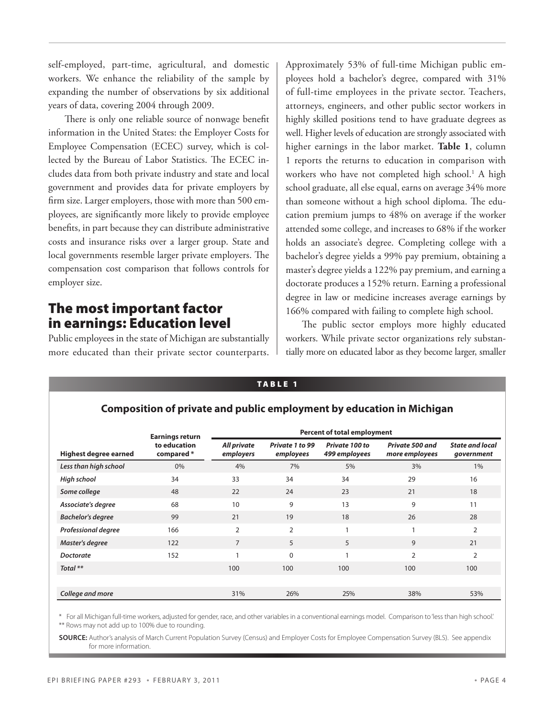self-employed, part-time, agricultural, and domestic workers. We enhance the reliability of the sample by expanding the number of observations by six additional years of data, covering 2004 through 2009.

There is only one reliable source of nonwage benefit information in the United States: the Employer Costs for Employee Compensation (ECEC) survey, which is collected by the Bureau of Labor Statistics. The ECEC includes data from both private industry and state and local government and provides data for private employers by firm size. Larger employers, those with more than 500 employees, are significantly more likely to provide employee benefits, in part because they can distribute administrative costs and insurance risks over a larger group. State and local governments resemble larger private employers. The compensation cost comparison that follows controls for employer size.

## The most important factor in earnings: Education level

Public employees in the state of Michigan are substantially more educated than their private sector counterparts. Approximately 53% of full-time Michigan public employees hold a bachelor's degree, compared with 31% of full-time employees in the private sector. Teachers, attorneys, engineers, and other public sector workers in highly skilled positions tend to have graduate degrees as well. Higher levels of education are strongly associated with higher earnings in the labor market. **Table 1**, column 1 reports the returns to education in comparison with workers who have not completed high school.<sup>1</sup> A high school graduate, all else equal, earns on average 34% more than someone without a high school diploma. The education premium jumps to 48% on average if the worker attended some college, and increases to 68% if the worker holds an associate's degree. Completing college with a bachelor's degree yields a 99% pay premium, obtaining a master's degree yields a 122% pay premium, and earning a doctorate produces a 152% return. Earning a professional degree in law or medicine increases average earnings by 166% compared with failing to complete high school.

The public sector employs more highly educated workers. While private sector organizations rely substantially more on educated labor as they become larger, smaller

#### **Composition of private and public employment by education in Michigan Highest degree earned Earnings return to education compared \* Percent of total employment**  *All private employers Private 1 to 99 employees Private 100 to 499 employees Private 500 and more employees State and local government Less than high school* 0% 4% 7% 5% 3% 1% *High school* 34 33 34 34 29 16 **Some college** 18 22 24 23 21 21 21 *Associate's degree* 68 10 9 13 9 11 **Bachelor's degree** 59 99 21 19 18 26 28 **Professional degree** 166 2 2 1 1 1 2

**Master's degree** 122 7 5 5 9 21 **Doctorate** 152 1 0 1 2 2 *Total \*\** 100 100 100 100 100

TABLE 1

\* For all Michigan full-time workers, adjusted for gender, race, and other variables in a conventional earnings model. Comparison to 'less than high school.' \*\* Rows may not add up to 100% due to rounding.

*College and more* 31% 26% 25% 38% 53%

**Source:** Author's analysis of March Current Population Survey (Census) and Employer Costs for Employee Compensation Survey (BLS). See appendix for more information.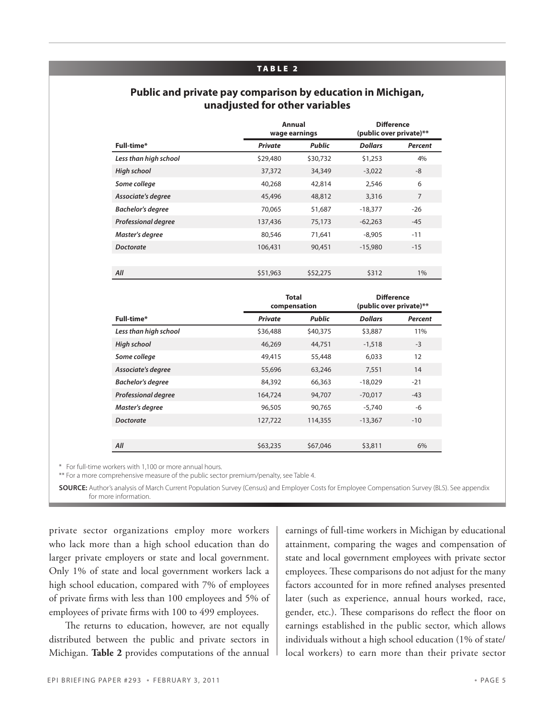#### TABLE 2

## **Public and private pay comparison by education in Michigan, unadjusted for other variables**

|                            |                | Annual<br><b>Difference</b><br>(public over private)**<br>wage earnings |                |                |
|----------------------------|----------------|-------------------------------------------------------------------------|----------------|----------------|
| Full-time*                 | <b>Private</b> | <b>Public</b>                                                           | <b>Dollars</b> | <b>Percent</b> |
| Less than high school      | \$29,480       | \$30,732                                                                | \$1,253        | 4%             |
| High school                | 37,372         | 34,349                                                                  | $-3,022$       | -8             |
| Some college               | 40,268         | 42,814                                                                  | 2,546          | 6              |
| Associate's degree         | 45,496         | 48,812                                                                  | 3,316          | $\overline{7}$ |
| <b>Bachelor's degree</b>   | 70,065         | 51,687                                                                  | $-18,377$      | $-26$          |
| <b>Professional degree</b> | 137,436        | 75,173                                                                  | $-62,263$      | $-45$          |
| Master's degree            | 80,546         | 71,641                                                                  | $-8.905$       | $-11$          |
| <b>Doctorate</b>           | 106,431        | 90,451                                                                  | $-15,980$      | $-15$          |
|                            |                |                                                                         |                |                |
| All                        | \$51,963       | \$52,275                                                                | \$312          | 1%             |

|                            | compensation   | <b>Total</b>  | <b>Difference</b><br>(public over private)** |                |  |
|----------------------------|----------------|---------------|----------------------------------------------|----------------|--|
| Full-time*                 | <b>Private</b> | <b>Public</b> | <b>Dollars</b>                               | <b>Percent</b> |  |
| Less than high school      | \$36,488       | \$40,375      | \$3,887                                      | 11%            |  |
| <b>High school</b>         | 46,269         | 44,751        | $-1,518$                                     | $-3$           |  |
| Some college               | 49,415         | 55,448        | 6,033                                        | 12             |  |
| Associate's degree         | 55,696         | 63,246        | 7,551                                        | 14             |  |
| <b>Bachelor's degree</b>   | 84,392         | 66,363        | $-18,029$                                    | $-21$          |  |
| <b>Professional degree</b> | 164,724        | 94,707        | $-70,017$                                    | $-43$          |  |
| Master's degree            | 96,505         | 90,765        | $-5,740$                                     | -6             |  |
| <b>Doctorate</b>           | 127,722        | 114,355       | $-13,367$                                    | $-10$          |  |
|                            |                |               |                                              |                |  |
| All                        | \$63,235       | \$67,046      | \$3,811                                      | 6%             |  |

\* For full-time workers with 1,100 or more annual hours.

\*\* For a more comprehensive measure of the public sector premium/penalty, see Table 4.

**SOURCE:** Author's analysis of March Current Population Survey (Census) and Employer Costs for Employee Compensation Survey (BLS). See appendix for more information.

private sector organizations employ more workers who lack more than a high school education than do larger private employers or state and local government. Only 1% of state and local government workers lack a high school education, compared with 7% of employees of private firms with less than 100 employees and 5% of employees of private firms with 100 to 499 employees.

The returns to education, however, are not equally distributed between the public and private sectors in Michigan. **Table 2** provides computations of the annual

earnings of full-time workers in Michigan by educational attainment, comparing the wages and compensation of state and local government employees with private sector employees. These comparisons do not adjust for the many factors accounted for in more refined analyses presented later (such as experience, annual hours worked, race, gender, etc.). These comparisons do reflect the floor on earnings established in the public sector, which allows individuals without a high school education (1% of state/ local workers) to earn more than their private sector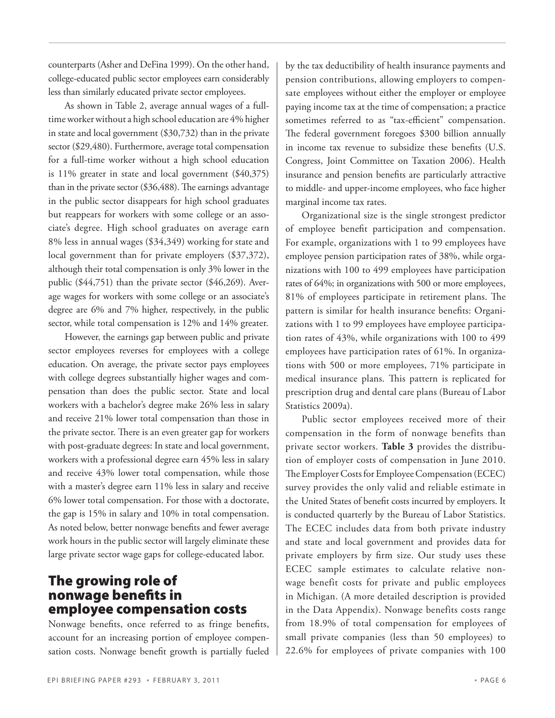counterparts (Asher and DeFina 1999). On the other hand, college-educated public sector employees earn considerably less than similarly educated private sector employees.

As shown in Table 2, average annual wages of a fulltime worker without a high school education are 4% higher in state and local government (\$30,732) than in the private sector (\$29,480). Furthermore, average total compensation for a full-time worker without a high school education is 11% greater in state and local government (\$40,375) than in the private sector (\$36,488). The earnings advantage in the public sector disappears for high school graduates but reappears for workers with some college or an associate's degree. High school graduates on average earn 8% less in annual wages (\$34,349) working for state and local government than for private employers (\$37,372), although their total compensation is only 3% lower in the public (\$44,751) than the private sector (\$46,269). Average wages for workers with some college or an associate's degree are 6% and 7% higher, respectively, in the public sector, while total compensation is 12% and 14% greater.

However, the earnings gap between public and private sector employees reverses for employees with a college education. On average, the private sector pays employees with college degrees substantially higher wages and compensation than does the public sector. State and local workers with a bachelor's degree make 26% less in salary and receive 21% lower total compensation than those in the private sector. There is an even greater gap for workers with post-graduate degrees: In state and local government, workers with a professional degree earn 45% less in salary and receive 43% lower total compensation, while those with a master's degree earn 11% less in salary and receive 6% lower total compensation. For those with a doctorate, the gap is 15% in salary and 10% in total compensation. As noted below, better nonwage benefits and fewer average work hours in the public sector will largely eliminate these large private sector wage gaps for college-educated labor.

## The growing role of nonwage benefits in employee compensation costs

Nonwage benefits, once referred to as fringe benefits, account for an increasing portion of employee compensation costs. Nonwage benefit growth is partially fueled by the tax deductibility of health insurance payments and pension contributions, allowing employers to compensate employees without either the employer or employee paying income tax at the time of compensation; a practice sometimes referred to as "tax-efficient" compensation. The federal government foregoes \$300 billion annually in income tax revenue to subsidize these benefits (U.S. Congress, Joint Committee on Taxation 2006). Health insurance and pension benefits are particularly attractive to middle- and upper-income employees, who face higher marginal income tax rates.

Organizational size is the single strongest predictor of employee benefit participation and compensation. For example, organizations with 1 to 99 employees have employee pension participation rates of 38%, while organizations with 100 to 499 employees have participation rates of 64%; in organizations with 500 or more employees, 81% of employees participate in retirement plans. The pattern is similar for health insurance benefits: Organizations with 1 to 99 employees have employee participation rates of 43%, while organizations with 100 to 499 employees have participation rates of 61%. In organizations with 500 or more employees, 71% participate in medical insurance plans. This pattern is replicated for prescription drug and dental care plans (Bureau of Labor Statistics 2009a).

Public sector employees received more of their compensation in the form of nonwage benefits than private sector workers. **Table 3** provides the distribution of employer costs of compensation in June 2010. The Employer Costs for Employee Compensation (ECEC) survey provides the only valid and reliable estimate in the United States of benefit costs incurred by employers. It is conducted quarterly by the Bureau of Labor Statistics. The ECEC includes data from both private industry and state and local government and provides data for private employers by firm size. Our study uses these ECEC sample estimates to calculate relative nonwage benefit costs for private and public employees in Michigan. (A more detailed description is provided in the Data Appendix). Nonwage benefits costs range from 18.9% of total compensation for employees of small private companies (less than 50 employees) to 22.6% for employees of private companies with 100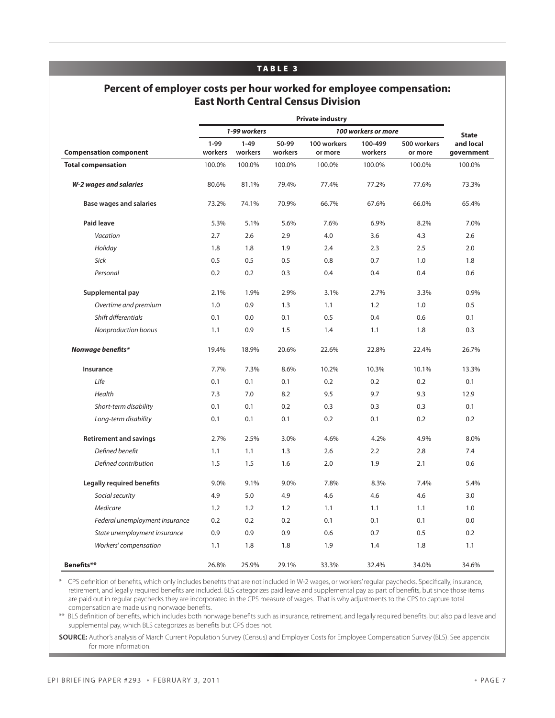#### TABLE 3

## **Percent of employer costs per hour worked for employee compensation: East North Central Census Division**

|                                                            | <b>Private industry</b>             |                   |                   |                   |                   |                   |                      |
|------------------------------------------------------------|-------------------------------------|-------------------|-------------------|-------------------|-------------------|-------------------|----------------------|
|                                                            | 1-99 workers<br>100 workers or more |                   |                   |                   |                   | <b>State</b>      |                      |
|                                                            | $1-99$                              | $1 - 49$          | 50-99             | 100 workers       | 100-499           | 500 workers       | and local            |
| <b>Compensation component</b><br><b>Total compensation</b> | workers<br>100.0%                   | workers<br>100.0% | workers<br>100.0% | or more<br>100.0% | workers<br>100.0% | or more<br>100.0% | government<br>100.0% |
|                                                            |                                     |                   |                   |                   |                   |                   |                      |
| W-2 wages and salaries                                     | 80.6%                               | 81.1%             | 79.4%             | 77.4%             | 77.2%             | 77.6%             | 73.3%                |
| <b>Base wages and salaries</b>                             | 73.2%                               | 74.1%             | 70.9%             | 66.7%             | 67.6%             | 66.0%             | 65.4%                |
| Paid leave                                                 | 5.3%                                | 5.1%              | 5.6%              | 7.6%              | 6.9%              | 8.2%              | 7.0%                 |
| Vacation                                                   | 2.7                                 | 2.6               | 2.9               | 4.0               | 3.6               | 4.3               | 2.6                  |
| Holiday                                                    | 1.8                                 | 1.8               | 1.9               | 2.4               | 2.3               | 2.5               | 2.0                  |
| Sick                                                       | 0.5                                 | 0.5               | 0.5               | 0.8               | 0.7               | 1.0               | 1.8                  |
| Personal                                                   | 0.2                                 | 0.2               | 0.3               | 0.4               | 0.4               | 0.4               | 0.6                  |
| Supplemental pay                                           | 2.1%                                | 1.9%              | 2.9%              | 3.1%              | 2.7%              | 3.3%              | 0.9%                 |
| Overtime and premium                                       | 1.0                                 | 0.9               | 1.3               | 1.1               | 1.2               | 1.0               | 0.5                  |
| Shift differentials                                        | 0.1                                 | 0.0               | 0.1               | 0.5               | 0.4               | 0.6               | 0.1                  |
| Nonproduction bonus                                        | 1.1                                 | 0.9               | 1.5               | 1.4               | 1.1               | 1.8               | 0.3                  |
| Nonwage benefits*                                          | 19.4%                               | 18.9%             | 20.6%             | 22.6%             | 22.8%             | 22.4%             | 26.7%                |
| Insurance                                                  | 7.7%                                | 7.3%              | 8.6%              | 10.2%             | 10.3%             | 10.1%             | 13.3%                |
| Life                                                       | 0.1                                 | 0.1               | 0.1               | 0.2               | 0.2               | 0.2               | 0.1                  |
| Health                                                     | 7.3                                 | 7.0               | 8.2               | 9.5               | 9.7               | 9.3               | 12.9                 |
| Short-term disability                                      | 0.1                                 | 0.1               | 0.2               | 0.3               | 0.3               | 0.3               | 0.1                  |
| Long-term disability                                       | 0.1                                 | 0.1               | 0.1               | 0.2               | 0.1               | 0.2               | 0.2                  |
| <b>Retirement and savings</b>                              | 2.7%                                | 2.5%              | 3.0%              | 4.6%              | 4.2%              | 4.9%              | 8.0%                 |
| Defined benefit                                            | 1.1                                 | 1.1               | 1.3               | 2.6               | 2.2               | 2.8               | 7.4                  |
| Defined contribution                                       | 1.5                                 | 1.5               | 1.6               | 2.0               | 1.9               | 2.1               | 0.6                  |
| Legally required benefits                                  | 9.0%                                | 9.1%              | 9.0%              | 7.8%              | 8.3%              | 7.4%              | 5.4%                 |
| Social security                                            | 4.9                                 | 5.0               | 4.9               | 4.6               | 4.6               | 4.6               | 3.0                  |
| Medicare                                                   | 1.2                                 | 1.2               | 1.2               | 1.1               | 1.1               | 1.1               | 1.0                  |
| Federal unemployment insurance                             | 0.2                                 | 0.2               | 0.2               | 0.1               | 0.1               | 0.1               | 0.0                  |
| State unemployment insurance                               | 0.9                                 | 0.9               | 0.9               | 0.6               | 0.7               | 0.5               | 0.2                  |
| Workers' compensation                                      | 1.1                                 | 1.8               | 1.8               | 1.9               | 1.4               | 1.8               | 1.1                  |
| Benefits**                                                 | 26.8%                               | 25.9%             | 29.1%             | 33.3%             | 32.4%             | 34.0%             | 34.6%                |

\* CPS definition of benefits, which only includes benefits that are not included in W-2 wages, or workers' regular paychecks. Specifically, insurance, retirement, and legally required benefits are included. BLS categorizes paid leave and supplemental pay as part of benefits, but since those items are paid out in regular paychecks they are incorporated in the CPS measure of wages. That is why adjustments to the CPS to capture total compensation are made using nonwage benefits.

\*\* BLS definition of benefits, which includes both nonwage benefits such as insurance, retirement, and legally required benefits, but also paid leave and supplemental pay, which BLS categorizes as benefits but CPS does not.

**Source:** Author's analysis of March Current Population Survey (Census) and Employer Costs for Employee Compensation Survey (BLS). See appendix for more information.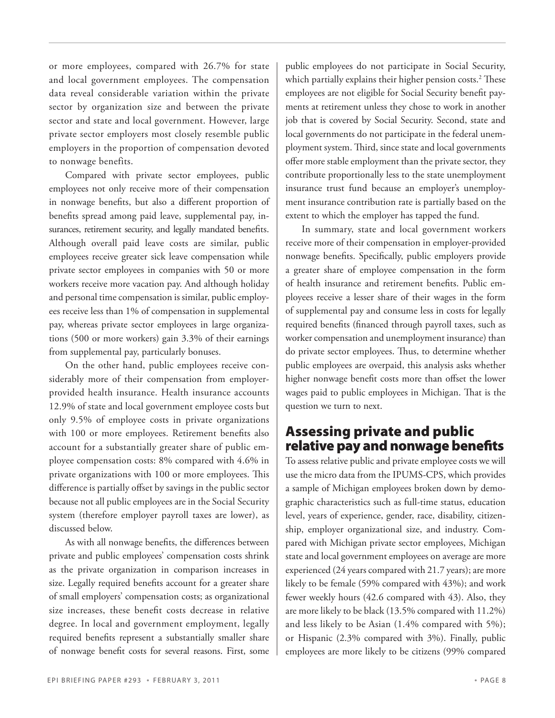or more employees, compared with 26.7% for state and local government employees. The compensation data reveal considerable variation within the private sector by organization size and between the private sector and state and local government. However, large private sector employers most closely resemble public employers in the proportion of compensation devoted to nonwage benefits.

Compared with private sector employees, public employees not only receive more of their compensation in nonwage benefits, but also a different proportion of benefits spread among paid leave, supplemental pay, insurances, retirement security, and legally mandated benefits. Although overall paid leave costs are similar, public employees receive greater sick leave compensation while private sector employees in companies with 50 or more workers receive more vacation pay. And although holiday and personal time compensation is similar, public employees receive less than 1% of compensation in supplemental pay, whereas private sector employees in large organizations (500 or more workers) gain 3.3% of their earnings from supplemental pay, particularly bonuses.

On the other hand, public employees receive considerably more of their compensation from employerprovided health insurance. Health insurance accounts 12.9% of state and local government employee costs but only 9.5% of employee costs in private organizations with 100 or more employees. Retirement benefits also account for a substantially greater share of public employee compensation costs: 8% compared with 4.6% in private organizations with 100 or more employees. This difference is partially offset by savings in the public sector because not all public employees are in the Social Security system (therefore employer payroll taxes are lower), as discussed below.

As with all nonwage benefits, the differences between private and public employees' compensation costs shrink as the private organization in comparison increases in size. Legally required benefits account for a greater share of small employers' compensation costs; as organizational size increases, these benefit costs decrease in relative degree. In local and government employment, legally required benefits represent a substantially smaller share of nonwage benefit costs for several reasons. First, some

public employees do not participate in Social Security, which partially explains their higher pension costs.<sup>2</sup> These employees are not eligible for Social Security benefit payments at retirement unless they chose to work in another job that is covered by Social Security. Second, state and local governments do not participate in the federal unemployment system. Third, since state and local governments offer more stable employment than the private sector, they contribute proportionally less to the state unemployment insurance trust fund because an employer's unemployment insurance contribution rate is partially based on the extent to which the employer has tapped the fund.

In summary, state and local government workers receive more of their compensation in employer-provided nonwage benefits. Specifically, public employers provide a greater share of employee compensation in the form of health insurance and retirement benefits. Public employees receive a lesser share of their wages in the form of supplemental pay and consume less in costs for legally required benefits (financed through payroll taxes, such as worker compensation and unemployment insurance) than do private sector employees. Thus, to determine whether public employees are overpaid, this analysis asks whether higher nonwage benefit costs more than offset the lower wages paid to public employees in Michigan. That is the question we turn to next.

## Assessing private and public relative pay and nonwage benefits

To assess relative public and private employee costs we will use the micro data from the IPUMS-CPS, which provides a sample of Michigan employees broken down by demographic characteristics such as full-time status, education level, years of experience, gender, race, disability, citizenship, employer organizational size, and industry. Compared with Michigan private sector employees, Michigan state and local government employees on average are more experienced (24 years compared with 21.7 years); are more likely to be female (59% compared with 43%); and work fewer weekly hours (42.6 compared with 43). Also, they are more likely to be black (13.5% compared with 11.2%) and less likely to be Asian (1.4% compared with 5%); or Hispanic (2.3% compared with 3%). Finally, public employees are more likely to be citizens (99% compared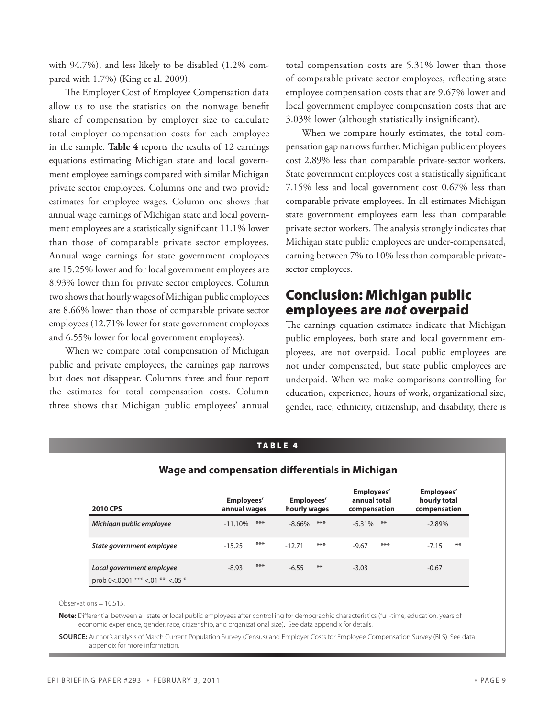with 94.7%), and less likely to be disabled (1.2% compared with 1.7%) (King et al. 2009).

The Employer Cost of Employee Compensation data allow us to use the statistics on the nonwage benefit share of compensation by employer size to calculate total employer compensation costs for each employee in the sample. **Table 4** reports the results of 12 earnings equations estimating Michigan state and local government employee earnings compared with similar Michigan private sector employees. Columns one and two provide estimates for employee wages. Column one shows that annual wage earnings of Michigan state and local government employees are a statistically significant 11.1% lower than those of comparable private sector employees. Annual wage earnings for state government employees are 15.25% lower and for local government employees are 8.93% lower than for private sector employees. Column two shows that hourly wages of Michigan public employees are 8.66% lower than those of comparable private sector employees (12.71% lower for state government employees and 6.55% lower for local government employees).

When we compare total compensation of Michigan public and private employees, the earnings gap narrows but does not disappear. Columns three and four report the estimates for total compensation costs. Column three shows that Michigan public employees' annual

total compensation costs are 5.31% lower than those of comparable private sector employees, reflecting state employee compensation costs that are 9.67% lower and local government employee compensation costs that are 3.03% lower (although statistically insignificant).

When we compare hourly estimates, the total compensation gap narrows further. Michigan public employees cost 2.89% less than comparable private-sector workers. State government employees cost a statistically significant 7.15% less and local government cost 0.67% less than comparable private employees. In all estimates Michigan state government employees earn less than comparable private sector workers. The analysis strongly indicates that Michigan state public employees are under-compensated, earning between 7% to 10% less than comparable privatesector employees.

## Conclusion: Michigan public employees are *not* overpaid

The earnings equation estimates indicate that Michigan public employees, both state and local government employees, are not overpaid. Local public employees are not under compensated, but state public employees are underpaid. When we make comparisons controlling for education, experience, hours of work, organizational size, gender, race, ethnicity, citizenship, and disability, there is

| <b>TABLE 4</b><br>Wage and compensation differentials in Michigan |                            |                            |                                            |                                            |  |  |
|-------------------------------------------------------------------|----------------------------|----------------------------|--------------------------------------------|--------------------------------------------|--|--|
| <b>2010 CPS</b>                                                   | Employees'<br>annual wages | Employees'<br>hourly wages | Employees'<br>annual total<br>compensation | Employees'<br>hourly total<br>compensation |  |  |
| Michigan public employee                                          | ***<br>$-11.10%$           | $***$<br>$-8.66\%$         | $**$<br>$-5.31%$                           | $-2.89%$                                   |  |  |
| State government employee                                         | ***<br>$-15.25$            | ***<br>$-12.71$            | ***<br>$-9.67$                             | $***$<br>$-7.15$                           |  |  |
| Local government employee<br>prob 0<.0001 *** <.01 ** <.05 *      | ***<br>$-8.93$             | $***$<br>$-6.55$           | $-3.03$                                    | $-0.67$                                    |  |  |

#### **Note:** Differential between all state or local public employees after controlling for demographic characteristics (full-time, education, years of economic experience, gender, race, citizenship, and organizational size). See data appendix for details.

**Source:** Author's analysis of March Current Population Survey (Census) and Employer Costs for Employee Compensation Survey (BLS). See data appendix for more information.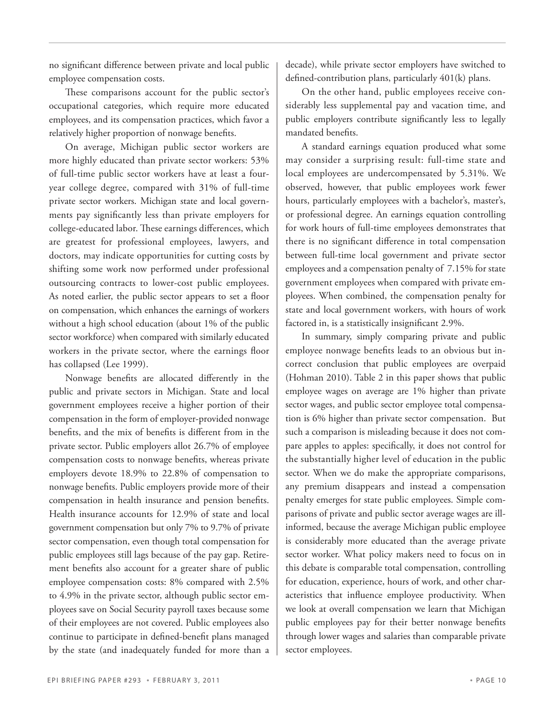no significant difference between private and local public employee compensation costs.

These comparisons account for the public sector's occupational categories, which require more educated employees, and its compensation practices, which favor a relatively higher proportion of nonwage benefits.

On average, Michigan public sector workers are more highly educated than private sector workers: 53% of full-time public sector workers have at least a fouryear college degree, compared with 31% of full-time private sector workers. Michigan state and local governments pay significantly less than private employers for college-educated labor. These earnings differences, which are greatest for professional employees, lawyers, and doctors, may indicate opportunities for cutting costs by shifting some work now performed under professional outsourcing contracts to lower-cost public employees. As noted earlier, the public sector appears to set a floor on compensation, which enhances the earnings of workers without a high school education (about 1% of the public sector workforce) when compared with similarly educated workers in the private sector, where the earnings floor has collapsed (Lee 1999).

Nonwage benefits are allocated differently in the public and private sectors in Michigan. State and local government employees receive a higher portion of their compensation in the form of employer-provided nonwage benefits, and the mix of benefits is different from in the private sector. Public employers allot 26.7% of employee compensation costs to nonwage benefits, whereas private employers devote 18.9% to 22.8% of compensation to nonwage benefits. Public employers provide more of their compensation in health insurance and pension benefits. Health insurance accounts for 12.9% of state and local government compensation but only 7% to 9.7% of private sector compensation, even though total compensation for public employees still lags because of the pay gap. Retirement benefits also account for a greater share of public employee compensation costs: 8% compared with 2.5% to 4.9% in the private sector, although public sector employees save on Social Security payroll taxes because some of their employees are not covered. Public employees also continue to participate in defined-benefit plans managed by the state (and inadequately funded for more than a

decade), while private sector employers have switched to defined-contribution plans, particularly 401(k) plans.

On the other hand, public employees receive considerably less supplemental pay and vacation time, and public employers contribute significantly less to legally mandated benefits.

A standard earnings equation produced what some may consider a surprising result: full-time state and local employees are undercompensated by 5.31%. We observed, however, that public employees work fewer hours, particularly employees with a bachelor's, master's, or professional degree. An earnings equation controlling for work hours of full-time employees demonstrates that there is no significant difference in total compensation between full-time local government and private sector employees and a compensation penalty of 7.15% for state government employees when compared with private employees. When combined, the compensation penalty for state and local government workers, with hours of work factored in, is a statistically insignificant 2.9%.

In summary, simply comparing private and public employee nonwage benefits leads to an obvious but incorrect conclusion that public employees are overpaid (Hohman 2010). Table 2 in this paper shows that public employee wages on average are 1% higher than private sector wages, and public sector employee total compensation is 6% higher than private sector compensation. But such a comparison is misleading because it does not compare apples to apples: specifically, it does not control for the substantially higher level of education in the public sector. When we do make the appropriate comparisons, any premium disappears and instead a compensation penalty emerges for state public employees. Simple comparisons of private and public sector average wages are illinformed, because the average Michigan public employee is considerably more educated than the average private sector worker. What policy makers need to focus on in this debate is comparable total compensation, controlling for education, experience, hours of work, and other characteristics that influence employee productivity. When we look at overall compensation we learn that Michigan public employees pay for their better nonwage benefits through lower wages and salaries than comparable private sector employees.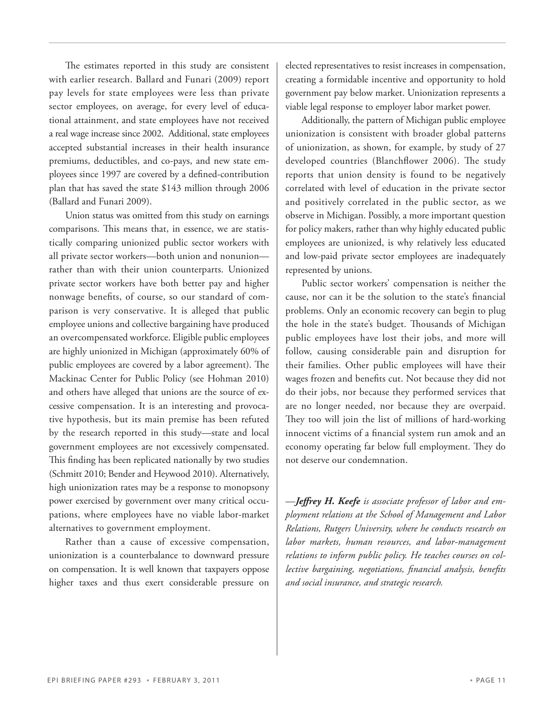The estimates reported in this study are consistent with earlier research. Ballard and Funari (2009) report pay levels for state employees were less than private sector employees, on average, for every level of educational attainment, and state employees have not received a real wage increase since 2002. Additional, state employees accepted substantial increases in their health insurance premiums, deductibles, and co-pays, and new state employees since 1997 are covered by a defined-contribution plan that has saved the state \$143 million through 2006 (Ballard and Funari 2009).

Union status was omitted from this study on earnings comparisons. This means that, in essence, we are statistically comparing unionized public sector workers with all private sector workers—both union and nonunion rather than with their union counterparts. Unionized private sector workers have both better pay and higher nonwage benefits, of course, so our standard of comparison is very conservative. It is alleged that public employee unions and collective bargaining have produced an overcompensated workforce. Eligible public employees are highly unionized in Michigan (approximately 60% of public employees are covered by a labor agreement). The Mackinac Center for Public Policy (see Hohman 2010) and others have alleged that unions are the source of excessive compensation. It is an interesting and provocative hypothesis, but its main premise has been refuted by the research reported in this study—state and local government employees are not excessively compensated. This finding has been replicated nationally by two studies (Schmitt 2010; Bender and Heywood 2010). Alternatively, high unionization rates may be a response to monopsony power exercised by government over many critical occupations, where employees have no viable labor-market alternatives to government employment.

Rather than a cause of excessive compensation, unionization is a counterbalance to downward pressure on compensation. It is well known that taxpayers oppose higher taxes and thus exert considerable pressure on

elected representatives to resist increases in compensation, creating a formidable incentive and opportunity to hold government pay below market. Unionization represents a viable legal response to employer labor market power.

Additionally, the pattern of Michigan public employee unionization is consistent with broader global patterns of unionization, as shown, for example, by study of 27 developed countries (Blanchflower 2006). The study reports that union density is found to be negatively correlated with level of education in the private sector and positively correlated in the public sector, as we observe in Michigan. Possibly, a more important question for policy makers, rather than why highly educated public employees are unionized, is why relatively less educated and low-paid private sector employees are inadequately represented by unions.

Public sector workers' compensation is neither the cause, nor can it be the solution to the state's financial problems. Only an economic recovery can begin to plug the hole in the state's budget. Thousands of Michigan public employees have lost their jobs, and more will follow, causing considerable pain and disruption for their families. Other public employees will have their wages frozen and benefits cut. Not because they did not do their jobs, nor because they performed services that are no longer needed, nor because they are overpaid. They too will join the list of millions of hard-working innocent victims of a financial system run amok and an economy operating far below full employment. They do not deserve our condemnation.

—*Jeffrey H. Keefe is associate professor of labor and employment relations at the School of Management and Labor Relations, Rutgers University, where he conducts research on labor markets, human resources, and labor-management relations to inform public policy. He teaches courses on collective bargaining, negotiations, financial analysis, benefits and social insurance, and strategic research.*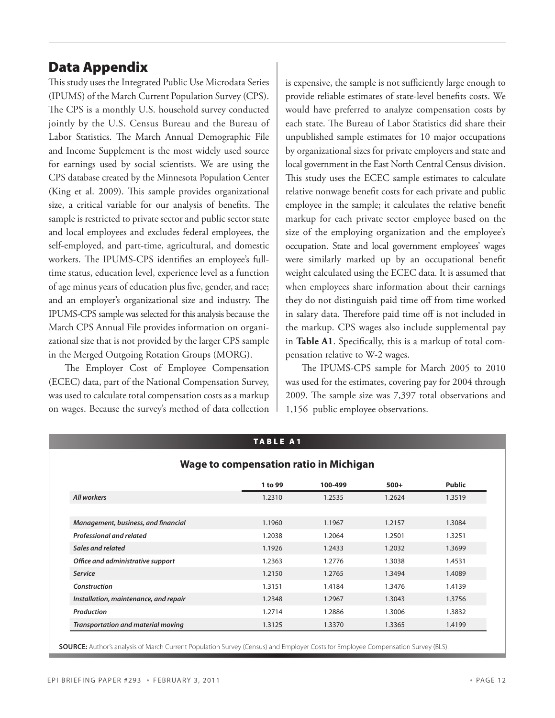## Data Appendix

This study uses the Integrated Public Use Microdata Series (IPUMS) of the March Current Population Survey (CPS). The CPS is a monthly U.S. household survey conducted jointly by the U.S. Census Bureau and the Bureau of Labor Statistics. The March Annual Demographic File and Income Supplement is the most widely used source for earnings used by social scientists. We are using the CPS database created by the Minnesota Population Center (King et al. 2009). This sample provides organizational size, a critical variable for our analysis of benefits. The sample is restricted to private sector and public sector state and local employees and excludes federal employees, the self-employed, and part-time, agricultural, and domestic workers. The IPUMS-CPS identifies an employee's fulltime status, education level, experience level as a function of age minus years of education plus five, gender, and race; and an employer's organizational size and industry. The IPUMS-CPS sample was selected for this analysis because the March CPS Annual File provides information on organizational size that is not provided by the larger CPS sample in the Merged Outgoing Rotation Groups (MORG).

The Employer Cost of Employee Compensation (ECEC) data, part of the National Compensation Survey, was used to calculate total compensation costs as a markup on wages. Because the survey's method of data collection is expensive, the sample is not sufficiently large enough to provide reliable estimates of state-level benefits costs. We would have preferred to analyze compensation costs by each state. The Bureau of Labor Statistics did share their unpublished sample estimates for 10 major occupations by organizational sizes for private employers and state and local government in the East North Central Census division. This study uses the ECEC sample estimates to calculate relative nonwage benefit costs for each private and public employee in the sample; it calculates the relative benefit markup for each private sector employee based on the size of the employing organization and the employee's occupation. State and local government employees' wages were similarly marked up by an occupational benefit weight calculated using the ECEC data. It is assumed that when employees share information about their earnings they do not distinguish paid time off from time worked in salary data. Therefore paid time off is not included in the markup. CPS wages also include supplemental pay in **Table A1**. Specifically, this is a markup of total compensation relative to W-2 wages.

The IPUMS-CPS sample for March 2005 to 2010 was used for the estimates, covering pay for 2004 through 2009. The sample size was 7,397 total observations and 1,156 public employee observations.

|                                       | 1 to 99 | 100-499 | $500+$ | Public |
|---------------------------------------|---------|---------|--------|--------|
| All workers                           | 1.2310  | 1.2535  | 1.2624 | 1.3519 |
|                                       |         |         |        |        |
| Management, business, and financial   | 1.1960  | 1.1967  | 1.2157 | 1.3084 |
| <b>Professional and related</b>       | 1.2038  | 1.2064  | 1.2501 | 1.3251 |
| Sales and related                     | 1.1926  | 1.2433  | 1.2032 | 1.3699 |
| Office and administrative support     | 1.2363  | 1.2776  | 1.3038 | 1.4531 |
| <b>Service</b>                        | 1.2150  | 1.2765  | 1.3494 | 1.4089 |
| Construction                          | 1.3151  | 1.4184  | 1.3476 | 1.4139 |
| Installation, maintenance, and repair | 1.2348  | 1.2967  | 1.3043 | 1.3756 |
| Production                            | 1.2714  | 1.2886  | 1.3006 | 1.3832 |
| Transportation and material moving    | 1.3125  | 1.3370  | 1.3365 | 1.4199 |

TABLE A1